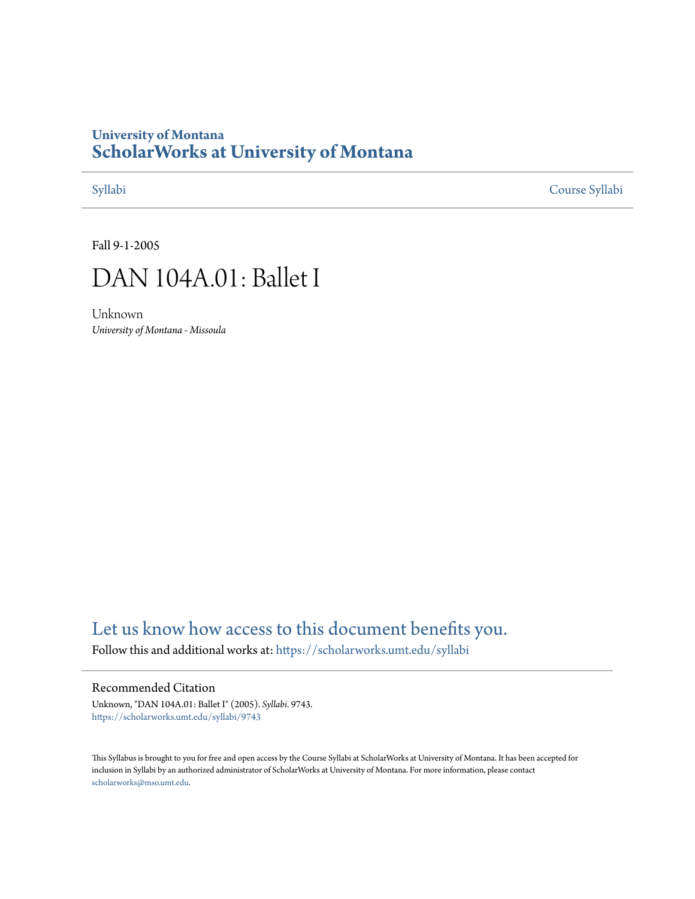## **University of Montana [ScholarWorks at University of Montana](https://scholarworks.umt.edu?utm_source=scholarworks.umt.edu%2Fsyllabi%2F9743&utm_medium=PDF&utm_campaign=PDFCoverPages)**

[Syllabi](https://scholarworks.umt.edu/syllabi?utm_source=scholarworks.umt.edu%2Fsyllabi%2F9743&utm_medium=PDF&utm_campaign=PDFCoverPages) [Course Syllabi](https://scholarworks.umt.edu/course_syllabi?utm_source=scholarworks.umt.edu%2Fsyllabi%2F9743&utm_medium=PDF&utm_campaign=PDFCoverPages)

Fall 9-1-2005



Unknown *University of Montana - Missoula*

# [Let us know how access to this document benefits you.](https://goo.gl/forms/s2rGfXOLzz71qgsB2)

Follow this and additional works at: [https://scholarworks.umt.edu/syllabi](https://scholarworks.umt.edu/syllabi?utm_source=scholarworks.umt.edu%2Fsyllabi%2F9743&utm_medium=PDF&utm_campaign=PDFCoverPages)

### Recommended Citation

Unknown, "DAN 104A.01: Ballet I" (2005). *Syllabi*. 9743. [https://scholarworks.umt.edu/syllabi/9743](https://scholarworks.umt.edu/syllabi/9743?utm_source=scholarworks.umt.edu%2Fsyllabi%2F9743&utm_medium=PDF&utm_campaign=PDFCoverPages)

This Syllabus is brought to you for free and open access by the Course Syllabi at ScholarWorks at University of Montana. It has been accepted for inclusion in Syllabi by an authorized administrator of ScholarWorks at University of Montana. For more information, please contact [scholarworks@mso.umt.edu](mailto:scholarworks@mso.umt.edu).